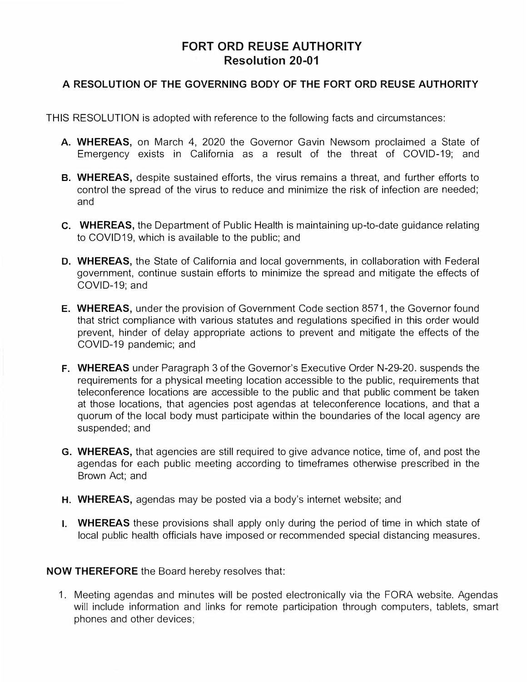## **FORT ORD REUSE AUTHORITY Resolution 20-01**

## **A RESOLUTION OF THE GOVERNING BODY OF THE FORT ORD REUSE AUTHORITY**

THIS RESOLUTION is adopted with reference to the following facts and circumstances:

- **A. WHEREAS,** on March 4, 2020 the Governor Gavin Newsom proclaimed a State of Emergency exists in California as a result of the threat of COVID-19; and
- **B. WHEREAS,** despite sustained efforts, the virus remains a threat, and further efforts to control the spread of the virus to reduce and minimize the risk of infection are needed; and
- **C. WHEREAS,** the Department of Public Health is maintaining up-to-date guidance relating to COVID19, which is available to the public; and
- **D. WHEREAS,** the State of California and local governments, in collaboration with Federal government, continue sustain efforts to minimize the spread and mitigate the effects of COVID-19; and
- **E. WHEREAS,** under the provision of Government Code section 8571, the Governor found that strict compliance with various statutes and regulations specified in this order would prevent, hinder of delay appropriate actions to prevent and mitigate the effects of the COVID-19 pandemic; and
- **F. WHEREAS** under Paragraph 3 of the Governor's Executive Order N-29-20. suspends the requirements for a physical meeting location accessible to the public, requirements that teleconference locations are accessible to the public and that public comment be taken at those locations, that agencies post agendas at teleconference locations, and that a quorum of the local body must participate within the boundaries of the local agency are suspended; and
- **G. WHEREAS,** that agencies are still required to give advance notice, time of, and post the agendas for each public meeting according to timeframes otherwise prescribed in the Brown Act; and
- **H. WHEREAS,** agendas may be posted via a body's internet website; and
- I. **WHEREAS** these provisions shall apply only during the period of time in which state of local public health officials have imposed or recommended special distancing measures.

**NOW THEREFORE** the Board hereby resolves that:

1. Meeting agendas and minutes will be posted electronically via the FORA website. Agendas will include information and links for remote participation through computers, tablets, smart phones and other devices;